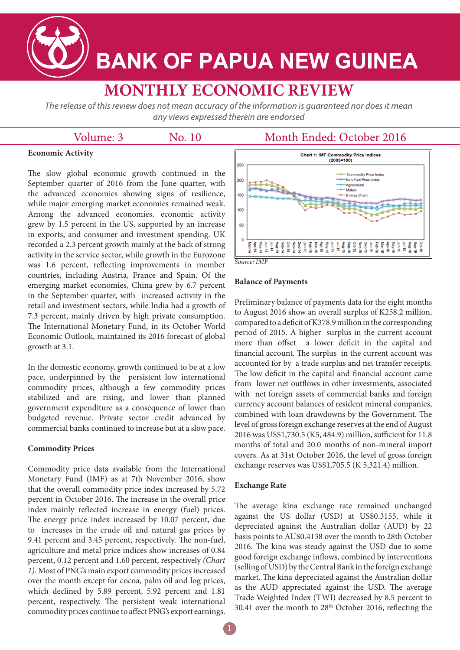

# **BANK OF PAPUA NEW GUINEA**

## **MONTHLY ECONOMIC REVIEW**

The release of this review does not mean accuracy of the information is quaranteed nor does it mean any views expressed therein are endorsed

| Volume: 3 |  |
|-----------|--|
|           |  |

No. 10

### Month Ended: October 2016

#### **Economic Activity**

The slow global economic growth continued in the September quarter of 2016 from the June quarter, with the advanced economies showing signs of resilience, while major emerging market economies remained weak. Among the advanced economies, economic activity grew by 1.5 percent in the US, supported by an increase in exports, and consumer and investment spending. UK recorded a 2.3 percent growth mainly at the back of strong activity in the service sector, while growth in the Eurozone was 1.6 percent, reflecting improvements in member countries, including Austria, France and Spain. Of the emerging market economies, China grew by 6.7 percent in the September quarter, with increased activity in the retail and investment sectors, while India had a growth of 7.3 percent, mainly driven by high private consumption. The International Monetary Fund, in its October World Economic Outlook, maintained its 2016 forecast of global growth at 3.1.

In the domestic economy, growth continued to be at a low pace, underpinned by the persistent low international commodity prices, although a few commodity prices stabilized and are rising, and lower than planned government expenditure as a consequence of lower than budgeted revenue. Private sector credit advanced by commercial banks continued to increase but at a slow pace.

#### **Commodity Prices**

Commodity price data available from the International Monetary Fund (IMF) as at 7th November 2016, show that the overall commodity price index increased by 5.72 percent in October 2016. The increase in the overall price index mainly reflected increase in energy (fuel) prices. The energy price index increased by 10.07 percent, due to increases in the crude oil and natural gas prices by 9.41 percent and 3.45 percent, respectively. The non-fuel, agriculture and metal price indices show increases of 0.84 percent, 0.12 percent and 1.60 percent, respectively *(Chart 1)*. Most of PNG's main export commodity prices increased over the month except for cocoa, palm oil and log prices, which declined by 5.89 percent, 5.92 percent and 1.81 percent, respectively. The persistent weak international commodity prices continue to affect PNG's export earnings.



#### **Balance of Payments**

Preliminary balance of payments data for the eight months to August 2016 show an overall surplus of K258.2 million, compared to a deficit of K378.9 million in the corresponding period of 2015. A higher surplus in the current account more than offset a lower deficit in the capital and financial account. The surplus in the current account was accounted for by a trade surplus and net transfer receipts. The low deficit in the capital and financial account came from lower net outflows in other investments, associated with net foreign assets of commercial banks and foreign currency account balances of resident mineral companies, combined with loan drawdowns by the Government. The level of gross foreign exchange reserves at the end of August 2016 was US\$1,730.5 (K5, 484.9) million, sufficient for 11.8 months of total and 20.0 months of non-mineral import covers. As at 31st October 2016, the level of gross foreign exchange reserves was US\$1,705.5 (K 5,321.4) million.

#### **Exchange Rate**

The average kina exchange rate remained unchanged against the US dollar (USD) at US\$0.3155, while it depreciated against the Australian dollar (AUD) by 22 basis points to AU\$0.4138 over the month to 28th October 2016. The kina was steady against the USD due to some good foreign exchange inflows, combined by interventions (selling of USD) by the Central Bank in the foreign exchange market. The kina depreciated against the Australian dollar as the AUD appreciated against the USD. The average Trade Weighted Index (TWI) decreased by 8.5 percent to 30.41 over the month to 28th October 2016, reflecting the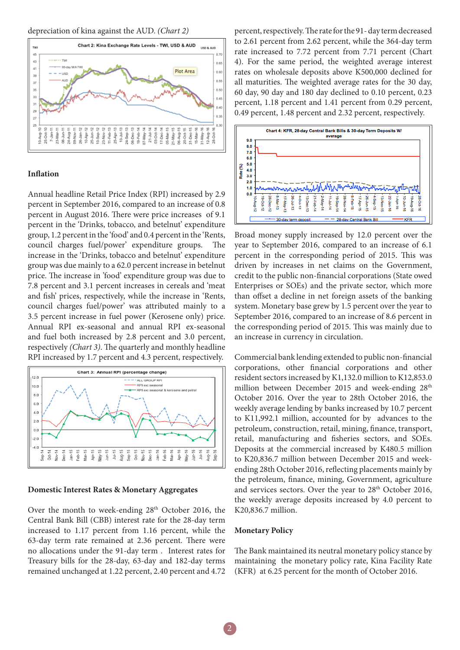depreciation of kina against the AUD. *(Chart 2)* 



#### **Inflation**

Annual headline Retail Price Index (RPI) increased by 2.9 percent in September 2016, compared to an increase of 0.8 percent in August 2016. There were price increases of 9.1 percent in the 'Drinks, tobacco, and betelnut' expenditure group, 1.2 percent in the 'food' and 0.4 percent in the 'Rents, council charges fuel/power' expenditure groups. The increase in the 'Drinks, tobacco and betelnut' expenditure group was due mainly to a 62.0 percent increase in betelnut price. The increase in 'food' expenditure group was due to 7.8 percent and 3.1 percent increases in cereals and 'meat and fish' prices, respectively, while the increase in 'Rents, council charges fuel/power' was attributed mainly to a 3.5 percent increase in fuel power (Kerosene only) price. Annual RPI ex-seasonal and annual RPI ex-seasonal and fuel both increased by 2.8 percent and 3.0 percent, respectively *(Chart 3)*. The quarterly and monthly headline RPI increased by 1.7 percent and 4.3 percent, respectively.



#### **Domestic Interest Rates & Monetary Aggregates**

Over the month to week-ending 28<sup>th</sup> October 2016, the Central Bank Bill (CBB) interest rate for the 28-day term increased to 1.17 percent from 1.16 percent, while the 63-day term rate remained at 2.36 percent. There were no allocations under the 91-day term . Interest rates for Treasury bills for the 28-day, 63-day and 182-day terms remained unchanged at 1.22 percent, 2.40 percent and 4.72

percent, respectively. The rate for the 91- day term decreased to 2.61 percent from 2.62 percent, while the 364-day term rate increased to 7.72 percent from 7.71 percent (Chart 4). For the same period, the weighted average interest rates on wholesale deposits above K500,000 declined for all maturities. The weighted average rates for the 30 day, 60 day, 90 day and 180 day declined to 0.10 percent, 0.23 percent, 1.18 percent and 1.41 percent from 0.29 percent, 0.49 percent, 1.48 percent and 2.32 percent, respectively.



Broad money supply increased by 12.0 percent over the year to September 2016, compared to an increase of 6.1 percent in the corresponding period of 2015. This was driven by increases in net claims on the Government, credit to the public non-financial corporations (State owed Enterprises or SOEs) and the private sector, which more than offset a decline in net foreign assets of the banking system. Monetary base grew by 1.5 percent over the year to September 2016, compared to an increase of 8.6 percent in the corresponding period of 2015. This was mainly due to an increase in currency in circulation.

Commercial bank lending extended to public non-financial corporations, other financial corporations and other resident sectors increased by K1,132.0 million to K12,853.0 million between December 2015 and week-ending 28<sup>th</sup> October 2016. Over the year to 28th October 2016, the weekly average lending by banks increased by 10.7 percent to K11,992.1 million, accounted for by advances to the petroleum, construction, retail, mining, finance, transport, retail, manufacturing and fisheries sectors, and SOEs. Deposits at the commercial increased by K480.5 million to K20,836.7 million between December 2015 and weekending 28th October 2016, reflecting placements mainly by the petroleum, finance, mining, Government, agriculture and services sectors. Over the year to 28th October 2016, the weekly average deposits increased by 4.0 percent to K20,836.7 million.

#### **Monetary Policy**

The Bank maintained its neutral monetary policy stance by maintaining the monetary policy rate, Kina Facility Rate (KFR) at 6.25 percent for the month of October 2016.